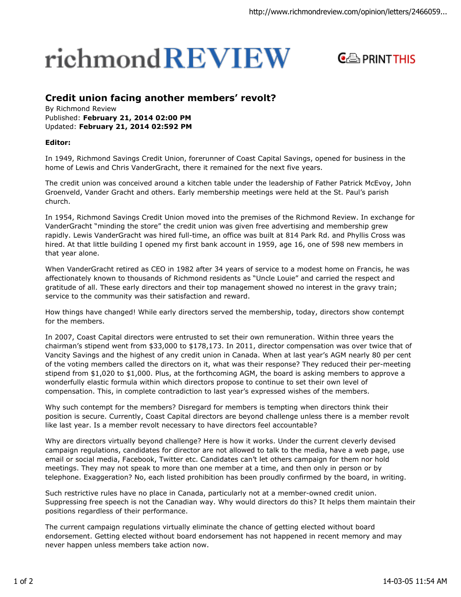## richmond REVIEW



## **Credit union facing another members' revolt?**

By Richmond Review Published: **February 21, 2014 02:00 PM** Updated: **February 21, 2014 02:592 PM**

## **Editor:**

In 1949, Richmond Savings Credit Union, forerunner of Coast Capital Savings, opened for business in the home of Lewis and Chris VanderGracht, there it remained for the next five years.

The credit union was conceived around a kitchen table under the leadership of Father Patrick McEvoy, John Groenveld, Vander Gracht and others. Early membership meetings were held at the St. Paul's parish church.

In 1954, Richmond Savings Credit Union moved into the premises of the Richmond Review. In exchange for VanderGracht "minding the store" the credit union was given free advertising and membership grew rapidly. Lewis VanderGracht was hired full-time, an office was built at 814 Park Rd. and Phyllis Cross was hired. At that little building I opened my first bank account in 1959, age 16, one of 598 new members in that year alone.

When VanderGracht retired as CEO in 1982 after 34 years of service to a modest home on Francis, he was affectionately known to thousands of Richmond residents as "Uncle Louie" and carried the respect and gratitude of all. These early directors and their top management showed no interest in the gravy train; service to the community was their satisfaction and reward.

How things have changed! While early directors served the membership, today, directors show contempt for the members.

In 2007, Coast Capital directors were entrusted to set their own remuneration. Within three years the chairman's stipend went from \$33,000 to \$178,173. In 2011, director compensation was over twice that of Vancity Savings and the highest of any credit union in Canada. When at last year's AGM nearly 80 per cent of the voting members called the directors on it, what was their response? They reduced their per-meeting stipend from \$1,020 to \$1,000. Plus, at the forthcoming AGM, the board is asking members to approve a wonderfully elastic formula within which directors propose to continue to set their own level of compensation. This, in complete contradiction to last year's expressed wishes of the members.

Why such contempt for the members? Disregard for members is tempting when directors think their position is secure. Currently, Coast Capital directors are beyond challenge unless there is a member revolt like last year. Is a member revolt necessary to have directors feel accountable?

Why are directors virtually beyond challenge? Here is how it works. Under the current cleverly devised campaign regulations, candidates for director are not allowed to talk to the media, have a web page, use email or social media, Facebook, Twitter etc. Candidates can't let others campaign for them nor hold meetings. They may not speak to more than one member at a time, and then only in person or by telephone. Exaggeration? No, each listed prohibition has been proudly confirmed by the board, in writing.

Such restrictive rules have no place in Canada, particularly not at a member-owned credit union. Suppressing free speech is not the Canadian way. Why would directors do this? It helps them maintain their positions regardless of their performance.

The current campaign regulations virtually eliminate the chance of getting elected without board endorsement. Getting elected without board endorsement has not happened in recent memory and may never happen unless members take action now.